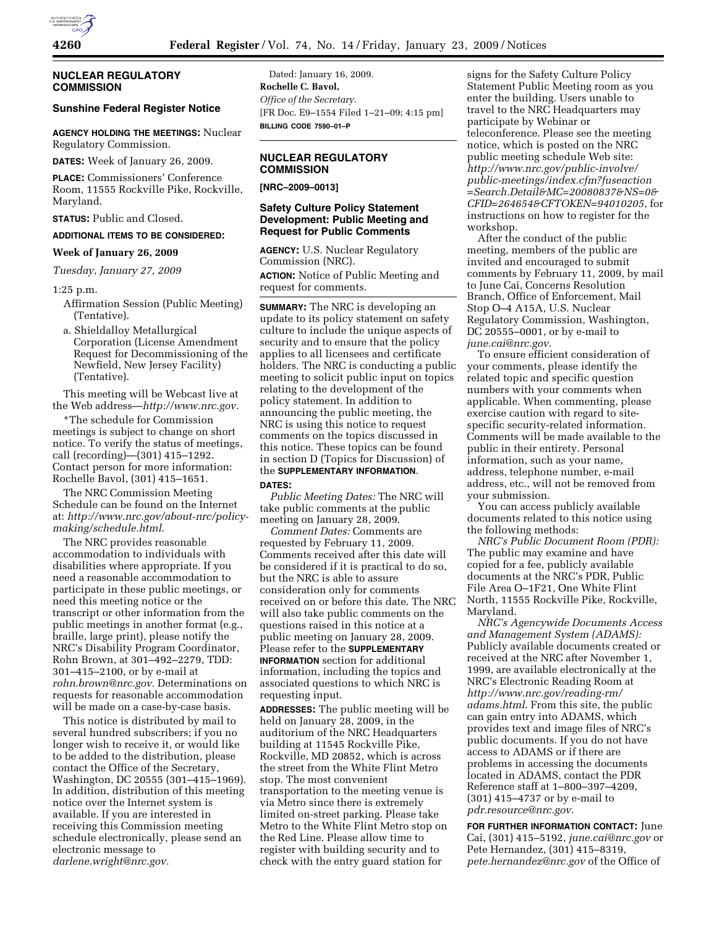

## **NUCLEAR REGULATORY COMMISSION**

# **Sunshine Federal Register Notice**

**AGENCY HOLDING THE MEETINGS:** Nuclear Regulatory Commission.

**DATES:** Week of January 26, 2009.

**PLACE:** Commissioners' Conference Room, 11555 Rockville Pike, Rockville, Maryland.

**STATUS:** Public and Closed.

#### **ADDITIONAL ITEMS TO BE CONSIDERED:**

#### **Week of January 26, 2009**

*Tuesday, January 27, 2009* 

#### 1:25 p.m.

- Affirmation Session (Public Meeting) (Tentative).
- a. Shieldalloy Metallurgical Corporation (License Amendment Request for Decommissioning of the Newfield, New Jersey Facility) (Tentative).

This meeting will be Webcast live at the Web address—*http://www.nrc.gov.* 

\*The schedule for Commission meetings is subject to change on short notice. To verify the status of meetings, call (recording)—(301) 415–1292. Contact person for more information: Rochelle Bavol, (301) 415–1651.

The NRC Commission Meeting Schedule can be found on the Internet at: *http://www.nrc.gov/about-nrc/policymaking/schedule.html*.

The NRC provides reasonable accommodation to individuals with disabilities where appropriate. If you need a reasonable accommodation to participate in these public meetings, or need this meeting notice or the transcript or other information from the public meetings in another format (e.g., braille, large print), please notify the NRC's Disability Program Coordinator, Rohn Brown, at 301–492–2279, TDD: 301–415–2100, or by e-mail at *rohn.brown@nrc.gov.* Determinations on requests for reasonable accommodation will be made on a case-by-case basis.

This notice is distributed by mail to several hundred subscribers; if you no longer wish to receive it, or would like to be added to the distribution, please contact the Office of the Secretary, Washington, DC 20555 (301–415–1969). In addition, distribution of this meeting notice over the Internet system is available. If you are interested in receiving this Commission meeting schedule electronically, please send an electronic message to *darlene.wright@nrc.gov.* 

Dated: January 16, 2009. **Rochelle C. Bavol,**  *Office of the Secretary.*  [FR Doc. E9–1554 Filed 1–21–09; 4:15 pm] **BILLING CODE 7590–01–P** 

### **NUCLEAR REGULATORY COMMISSION**

#### **[NRC–2009–0013]**

## **Safety Culture Policy Statement Development: Public Meeting and Request for Public Comments**

**AGENCY:** U.S. Nuclear Regulatory Commission (NRC).

**ACTION:** Notice of Public Meeting and request for comments.

**SUMMARY:** The NRC is developing an update to its policy statement on safety culture to include the unique aspects of security and to ensure that the policy applies to all licensees and certificate holders. The NRC is conducting a public meeting to solicit public input on topics relating to the development of the policy statement. In addition to announcing the public meeting, the NRC is using this notice to request comments on the topics discussed in this notice. These topics can be found in section D (Topics for Discussion) of the **SUPPLEMENTARY INFORMATION**. **DATES:**

*Public Meeting Dates:* The NRC will take public comments at the public meeting on January 28, 2009.

*Comment Dates:* Comments are requested by February 11, 2009. Comments received after this date will be considered if it is practical to do so, but the NRC is able to assure consideration only for comments received on or before this date. The NRC will also take public comments on the questions raised in this notice at a public meeting on January 28, 2009. Please refer to the **SUPPLEMENTARY INFORMATION** section for additional information, including the topics and associated questions to which NRC is requesting input.

**ADDRESSES:** The public meeting will be held on January 28, 2009, in the auditorium of the NRC Headquarters building at 11545 Rockville Pike, Rockville, MD 20852, which is across the street from the White Flint Metro stop. The most convenient transportation to the meeting venue is via Metro since there is extremely limited on-street parking. Please take Metro to the White Flint Metro stop on the Red Line. Please allow time to register with building security and to check with the entry guard station for

signs for the Safety Culture Policy Statement Public Meeting room as you enter the building. Users unable to travel to the NRC Headquarters may participate by Webinar or teleconference. Please see the meeting notice, which is posted on the NRC public meeting schedule Web site: *http://www.nrc.gov/public-involve/ public-meetings/index.cfm?fuseaction =Search.Detail&MC=20080837&NS=0& CFID=264654&CFTOKEN=94010205*, for instructions on how to register for the workshop.

After the conduct of the public meeting, members of the public are invited and encouraged to submit comments by February 11, 2009, by mail to June Cai, Concerns Resolution Branch, Office of Enforcement, Mail Stop O–4 A15A, U.S. Nuclear Regulatory Commission, Washington, DC 20555–0001, or by e-mail to *june.cai@nrc.gov*.

To ensure efficient consideration of your comments, please identify the related topic and specific question numbers with your comments when applicable. When commenting, please exercise caution with regard to sitespecific security-related information. Comments will be made available to the public in their entirety. Personal information, such as your name, address, telephone number, e-mail address, etc., will not be removed from your submission.

You can access publicly available documents related to this notice using the following methods:

*NRC's Public Document Room (PDR):*  The public may examine and have copied for a fee, publicly available documents at the NRC's PDR, Public File Area O–1F21, One White Flint North, 11555 Rockville Pike, Rockville, Maryland.

*NRC's Agencywide Documents Access and Management System (ADAMS):*  Publicly available documents created or received at the NRC after November 1, 1999, are available electronically at the NRC's Electronic Reading Room at *http://www.nrc.gov/reading-rm/ adams.html*. From this site, the public can gain entry into ADAMS, which provides text and image files of NRC's public documents. If you do not have access to ADAMS or if there are problems in accessing the documents located in ADAMS, contact the PDR Reference staff at 1–800–397–4209, (301) 415–4737 or by e-mail to *pdr.resource@nrc.gov*.

**FOR FURTHER INFORMATION CONTACT:** June Cai, (301) 415–5192, *june.cai@nrc.gov* or Pete Hernandez, (301) 415–8319, *pete.hernandez@nrc.gov* of the Office of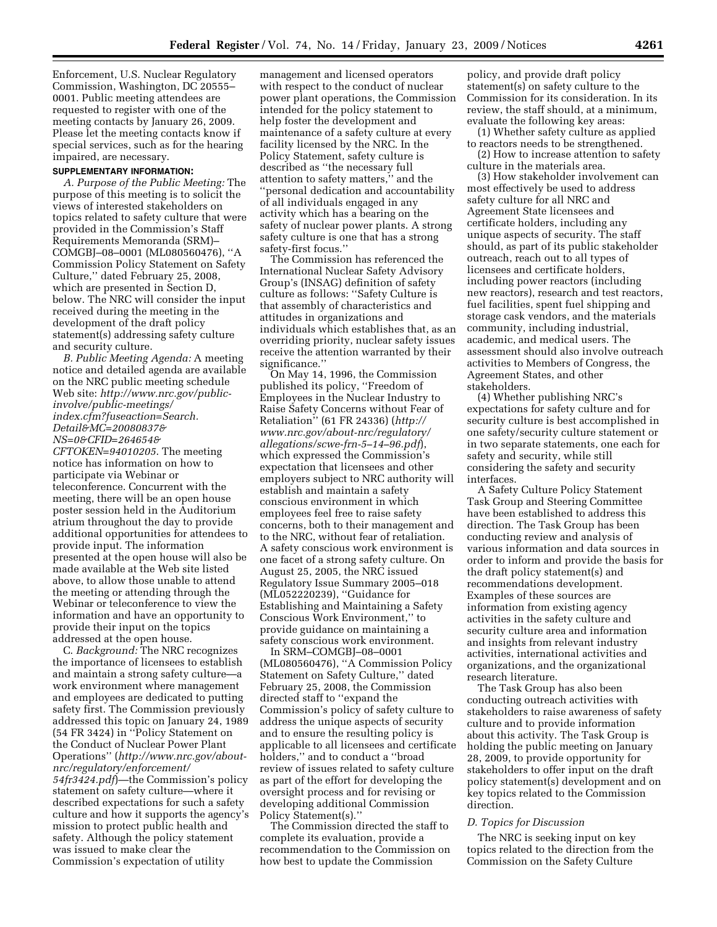Enforcement, U.S. Nuclear Regulatory Commission, Washington, DC 20555– 0001. Public meeting attendees are requested to register with one of the meeting contacts by January 26, 2009. Please let the meeting contacts know if special services, such as for the hearing impaired, are necessary.

#### **SUPPLEMENTARY INFORMATION:**

*A. Purpose of the Public Meeting:* The purpose of this meeting is to solicit the views of interested stakeholders on topics related to safety culture that were provided in the Commission's Staff Requirements Memoranda (SRM)– COMGBJ–08–0001 (ML080560476), ''A Commission Policy Statement on Safety Culture,'' dated February 25, 2008, which are presented in Section D, below. The NRC will consider the input received during the meeting in the development of the draft policy statement(s) addressing safety culture and security culture.

*B. Public Meeting Agenda:* A meeting notice and detailed agenda are available on the NRC public meeting schedule Web site: *http://www.nrc.gov/publicinvolve/public-meetings/ index.cfm?fuseaction=Search. Detail&MC=20080837& NS=0&CFID=264654& CFTOKEN=94010205*. The meeting notice has information on how to participate via Webinar or teleconference. Concurrent with the meeting, there will be an open house poster session held in the Auditorium atrium throughout the day to provide additional opportunities for attendees to provide input. The information presented at the open house will also be made available at the Web site listed above, to allow those unable to attend the meeting or attending through the Webinar or teleconference to view the information and have an opportunity to provide their input on the topics addressed at the open house.

C. *Background:* The NRC recognizes the importance of licensees to establish and maintain a strong safety culture—a work environment where management and employees are dedicated to putting safety first. The Commission previously addressed this topic on January 24, 1989 (54 FR 3424) in ''Policy Statement on the Conduct of Nuclear Power Plant Operations'' (*http://www.nrc.gov/aboutnrc/regulatory/enforcement/ 54fr3424.pdf*)—the Commission's policy statement on safety culture—where it described expectations for such a safety culture and how it supports the agency's mission to protect public health and safety. Although the policy statement was issued to make clear the Commission's expectation of utility

management and licensed operators with respect to the conduct of nuclear power plant operations, the Commission intended for the policy statement to help foster the development and maintenance of a safety culture at every facility licensed by the NRC. In the Policy Statement, safety culture is described as ''the necessary full attention to safety matters,'' and the ''personal dedication and accountability of all individuals engaged in any activity which has a bearing on the safety of nuclear power plants. A strong safety culture is one that has a strong safety-first focus.''

The Commission has referenced the International Nuclear Safety Advisory Group's (INSAG) definition of safety culture as follows: ''Safety Culture is that assembly of characteristics and attitudes in organizations and individuals which establishes that, as an overriding priority, nuclear safety issues receive the attention warranted by their significance.''

On May 14, 1996, the Commission published its policy, ''Freedom of Employees in the Nuclear Industry to Raise Safety Concerns without Fear of Retaliation'' (61 FR 24336) (*http:// www.nrc.gov/about-nrc/regulatory/ allegations/scwe-frn-5–14–96.pdf*), which expressed the Commission's expectation that licensees and other employers subject to NRC authority will establish and maintain a safety conscious environment in which employees feel free to raise safety concerns, both to their management and to the NRC, without fear of retaliation. A safety conscious work environment is one facet of a strong safety culture. On August 25, 2005, the NRC issued Regulatory Issue Summary 2005–018 (ML052220239), ''Guidance for Establishing and Maintaining a Safety Conscious Work Environment,'' to provide guidance on maintaining a safety conscious work environment.

In SRM–COMGBJ–08–0001 (ML080560476), ''A Commission Policy Statement on Safety Culture,'' dated February 25, 2008, the Commission directed staff to ''expand the Commission's policy of safety culture to address the unique aspects of security and to ensure the resulting policy is applicable to all licensees and certificate holders,'' and to conduct a ''broad review of issues related to safety culture as part of the effort for developing the oversight process and for revising or developing additional Commission Policy Statement(s).''

The Commission directed the staff to complete its evaluation, provide a recommendation to the Commission on how best to update the Commission

policy, and provide draft policy statement(s) on safety culture to the Commission for its consideration. In its review, the staff should, at a minimum, evaluate the following key areas:

(1) Whether safety culture as applied to reactors needs to be strengthened. (2) How to increase attention to safety

culture in the materials area. (3) How stakeholder involvement can most effectively be used to address safety culture for all NRC and Agreement State licensees and certificate holders, including any unique aspects of security. The staff should, as part of its public stakeholder outreach, reach out to all types of licensees and certificate holders, including power reactors (including new reactors), research and test reactors, fuel facilities, spent fuel shipping and storage cask vendors, and the materials community, including industrial, academic, and medical users. The assessment should also involve outreach activities to Members of Congress, the Agreement States, and other stakeholders.

(4) Whether publishing NRC's expectations for safety culture and for security culture is best accomplished in one safety/security culture statement or in two separate statements, one each for safety and security, while still considering the safety and security interfaces.

A Safety Culture Policy Statement Task Group and Steering Committee have been established to address this direction. The Task Group has been conducting review and analysis of various information and data sources in order to inform and provide the basis for the draft policy statement(s) and recommendations development. Examples of these sources are information from existing agency activities in the safety culture and security culture area and information and insights from relevant industry activities, international activities and organizations, and the organizational research literature.

The Task Group has also been conducting outreach activities with stakeholders to raise awareness of safety culture and to provide information about this activity. The Task Group is holding the public meeting on January 28, 2009, to provide opportunity for stakeholders to offer input on the draft policy statement(s) development and on key topics related to the Commission direction.

#### *D. Topics for Discussion*

The NRC is seeking input on key topics related to the direction from the Commission on the Safety Culture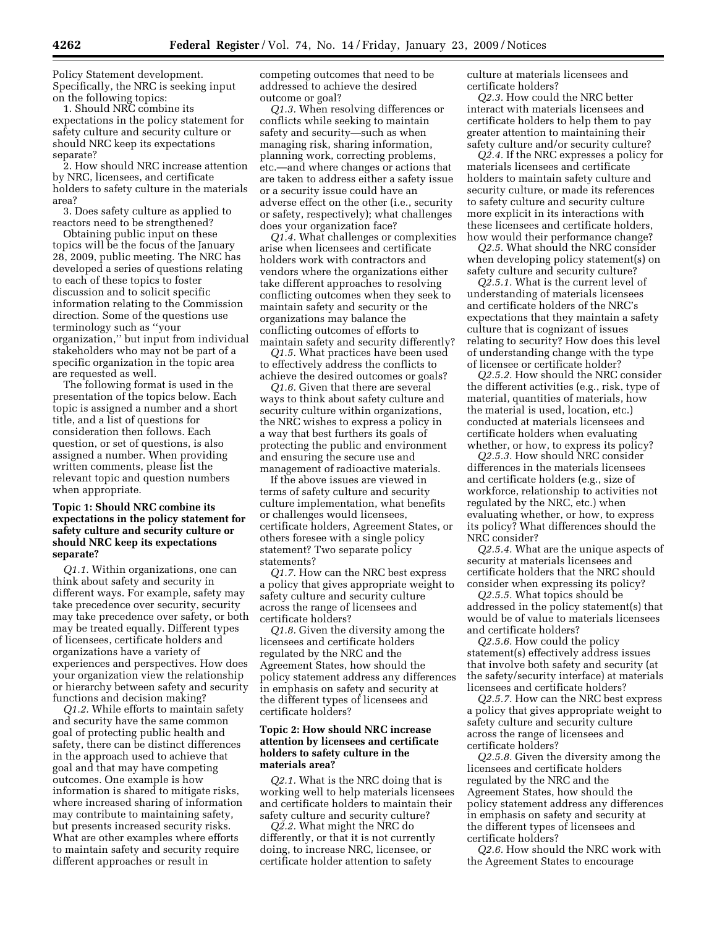Policy Statement development. Specifically, the NRC is seeking input on the following topics:

1. Should NRC combine its expectations in the policy statement for safety culture and security culture or should NRC keep its expectations separate?

2. How should NRC increase attention by NRC, licensees, and certificate holders to safety culture in the materials area?

3. Does safety culture as applied to reactors need to be strengthened?

Obtaining public input on these topics will be the focus of the January 28, 2009, public meeting. The NRC has developed a series of questions relating to each of these topics to foster discussion and to solicit specific information relating to the Commission direction. Some of the questions use terminology such as ''your organization,'' but input from individual stakeholders who may not be part of a specific organization in the topic area are requested as well.

The following format is used in the presentation of the topics below. Each topic is assigned a number and a short title, and a list of questions for consideration then follows. Each question, or set of questions, is also assigned a number. When providing written comments, please list the relevant topic and question numbers when appropriate.

## **Topic 1: Should NRC combine its expectations in the policy statement for safety culture and security culture or should NRC keep its expectations separate?**

*Q1.1.* Within organizations, one can think about safety and security in different ways. For example, safety may take precedence over security, security may take precedence over safety, or both may be treated equally. Different types of licensees, certificate holders and organizations have a variety of experiences and perspectives. How does your organization view the relationship or hierarchy between safety and security functions and decision making?

*Q1.2.* While efforts to maintain safety and security have the same common goal of protecting public health and safety, there can be distinct differences in the approach used to achieve that goal and that may have competing outcomes. One example is how information is shared to mitigate risks, where increased sharing of information may contribute to maintaining safety, but presents increased security risks. What are other examples where efforts to maintain safety and security require different approaches or result in

competing outcomes that need to be addressed to achieve the desired outcome or goal?

*Q1.3.* When resolving differences or conflicts while seeking to maintain safety and security—such as when managing risk, sharing information, planning work, correcting problems, etc.—and where changes or actions that are taken to address either a safety issue or a security issue could have an adverse effect on the other (i.e., security or safety, respectively); what challenges does your organization face?

*Q1.4.* What challenges or complexities arise when licensees and certificate holders work with contractors and vendors where the organizations either take different approaches to resolving conflicting outcomes when they seek to maintain safety and security or the organizations may balance the conflicting outcomes of efforts to maintain safety and security differently?

*Q1.5.* What practices have been used to effectively address the conflicts to achieve the desired outcomes or goals?

*Q1.6.* Given that there are several ways to think about safety culture and security culture within organizations, the NRC wishes to express a policy in a way that best furthers its goals of protecting the public and environment and ensuring the secure use and management of radioactive materials.

If the above issues are viewed in terms of safety culture and security culture implementation, what benefits or challenges would licensees, certificate holders, Agreement States, or others foresee with a single policy statement? Two separate policy statements?

*Q1.7.* How can the NRC best express a policy that gives appropriate weight to safety culture and security culture across the range of licensees and certificate holders?

*Q1.8.* Given the diversity among the licensees and certificate holders regulated by the NRC and the Agreement States, how should the policy statement address any differences in emphasis on safety and security at the different types of licensees and certificate holders?

### **Topic 2: How should NRC increase attention by licensees and certificate holders to safety culture in the materials area?**

*Q2.1.* What is the NRC doing that is working well to help materials licensees and certificate holders to maintain their safety culture and security culture?

*Q2.2.* What might the NRC do differently, or that it is not currently doing, to increase NRC, licensee, or certificate holder attention to safety

culture at materials licensees and certificate holders?

*Q2.3.* How could the NRC better interact with materials licensees and certificate holders to help them to pay greater attention to maintaining their safety culture and/or security culture?

*Q2.4.* If the NRC expresses a policy for materials licensees and certificate holders to maintain safety culture and security culture, or made its references to safety culture and security culture more explicit in its interactions with these licensees and certificate holders, how would their performance change?

*Q2.5.* What should the NRC consider when developing policy statement(s) on safety culture and security culture?

*Q2.5.1.* What is the current level of understanding of materials licensees and certificate holders of the NRC's expectations that they maintain a safety culture that is cognizant of issues relating to security? How does this level of understanding change with the type of licensee or certificate holder?

*Q2.5.2.* How should the NRC consider the different activities (e.g., risk, type of material, quantities of materials, how the material is used, location, etc.) conducted at materials licensees and certificate holders when evaluating whether, or how, to express its policy?

*Q2.5.3.* How should NRC consider differences in the materials licensees and certificate holders (e.g., size of workforce, relationship to activities not regulated by the NRC, etc.) when evaluating whether, or how, to express its policy? What differences should the NRC consider?

*Q2.5.4.* What are the unique aspects of security at materials licensees and certificate holders that the NRC should consider when expressing its policy?

*Q2.5.5.* What topics should be addressed in the policy statement(s) that would be of value to materials licensees and certificate holders?

*Q2.5.6.* How could the policy statement(s) effectively address issues that involve both safety and security (at the safety/security interface) at materials licensees and certificate holders?

*Q2.5.7.* How can the NRC best express a policy that gives appropriate weight to safety culture and security culture across the range of licensees and certificate holders?

*Q2.5.8.* Given the diversity among the licensees and certificate holders regulated by the NRC and the Agreement States, how should the policy statement address any differences in emphasis on safety and security at the different types of licensees and certificate holders?

*Q2.6.* How should the NRC work with the Agreement States to encourage